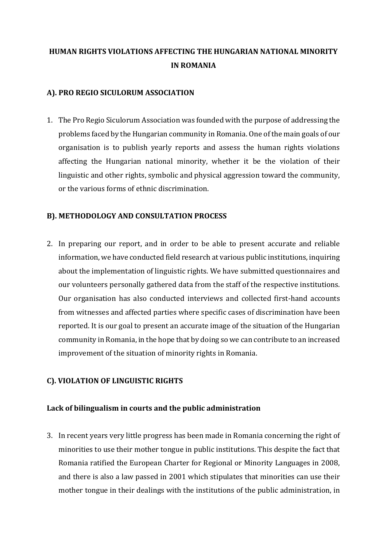# **HUMAN RIGHTS VIOLATIONS AFFECTING THE HUNGARIAN NATIONAL MINORITY IN ROMANIA**

# **A). PRO REGIO SICULORUM ASSOCIATION**

1. The Pro Regio Siculorum Association was founded with the purpose of addressing the problems faced by the Hungarian community in Romania. One of the main goals of our organisation is to publish yearly reports and assess the human rights violations affecting the Hungarian national minority, whether it be the violation of their linguistic and other rights, symbolic and physical aggression toward the community, or the various forms of ethnic discrimination.

# **B). METHODOLOGY AND CONSULTATION PROCESS**

2. In preparing our report, and in order to be able to present accurate and reliable information, we have conducted field research at various public institutions, inquiring about the implementation of linguistic rights. We have submitted questionnaires and our volunteers personally gathered data from the staff of the respective institutions. Our organisation has also conducted interviews and collected first-hand accounts from witnesses and affected parties where specific cases of discrimination have been reported. It is our goal to present an accurate image of the situation of the Hungarian community in Romania, in the hope that by doing so we can contribute to an increased improvement of the situation of minority rights in Romania.

# **C). VIOLATION OF LINGUISTIC RIGHTS**

## **Lack of bilingualism in courts and the public administration**

3. In recent years very little progress has been made in Romania concerning the right of minorities to use their mother tongue in public institutions. This despite the fact that Romania ratified the European Charter for Regional or Minority Languages in 2008, and there is also a law passed in 2001 which stipulates that minorities can use their mother tongue in their dealings with the institutions of the public administration, in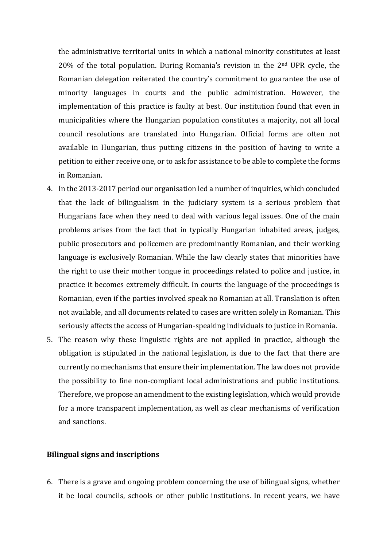the administrative territorial units in which a national minority constitutes at least 20% of the total population. During Romania's revision in the 2nd UPR cycle, the Romanian delegation reiterated the country's commitment to guarantee the use of minority languages in courts and the public administration. However, the implementation of this practice is faulty at best. Our institution found that even in municipalities where the Hungarian population constitutes a majority, not all local council resolutions are translated into Hungarian. Official forms are often not available in Hungarian, thus putting citizens in the position of having to write a petition to either receive one, or to ask for assistance to be able to complete the forms in Romanian.

- 4. In the 2013-2017 period our organisation led a number of inquiries, which concluded that the lack of bilingualism in the judiciary system is a serious problem that Hungarians face when they need to deal with various legal issues. One of the main problems arises from the fact that in typically Hungarian inhabited areas, judges, public prosecutors and policemen are predominantly Romanian, and their working language is exclusively Romanian. While the law clearly states that minorities have the right to use their mother tongue in proceedings related to police and justice, in practice it becomes extremely difficult. In courts the language of the proceedings is Romanian, even if the parties involved speak no Romanian at all. Translation is often not available, and all documents related to cases are written solely in Romanian. This seriously affects the access of Hungarian-speaking individuals to justice in Romania.
- 5. The reason why these linguistic rights are not applied in practice, although the obligation is stipulated in the national legislation, is due to the fact that there are currently no mechanisms that ensure their implementation. The law does not provide the possibility to fine non-compliant local administrations and public institutions. Therefore, we propose an amendment to the existing legislation, which would provide for a more transparent implementation, as well as clear mechanisms of verification and sanctions.

#### **Bilingual signs and inscriptions**

6. There is a grave and ongoing problem concerning the use of bilingual signs, whether it be local councils, schools or other public institutions. In recent years, we have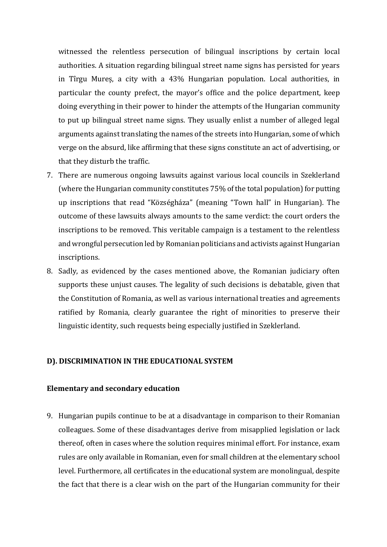witnessed the relentless persecution of bilingual inscriptions by certain local authorities. A situation regarding bilingual street name signs has persisted for years in Tîrgu Mureș, a city with a 43% Hungarian population. Local authorities, in particular the county prefect, the mayor's office and the police department, keep doing everything in their power to hinder the attempts of the Hungarian community to put up bilingual street name signs. They usually enlist a number of alleged legal arguments against translating the names of the streets into Hungarian, some of which verge on the absurd, like affirming that these signs constitute an act of advertising, or that they disturb the traffic.

- 7. There are numerous ongoing lawsuits against various local councils in Szeklerland (where the Hungarian community constitutes 75% of the total population) for putting up inscriptions that read "Községháza" (meaning "Town hall" in Hungarian). The outcome of these lawsuits always amounts to the same verdict: the court orders the inscriptions to be removed. This veritable campaign is a testament to the relentless and wrongful persecution led by Romanian politicians and activists against Hungarian inscriptions.
- 8. Sadly, as evidenced by the cases mentioned above, the Romanian judiciary often supports these unjust causes. The legality of such decisions is debatable, given that the Constitution of Romania, as well as various international treaties and agreements ratified by Romania, clearly guarantee the right of minorities to preserve their linguistic identity, such requests being especially justified in Szeklerland.

## **D). DISCRIMINATION IN THE EDUCATIONAL SYSTEM**

## **Elementary and secondary education**

9. Hungarian pupils continue to be at a disadvantage in comparison to their Romanian colleagues. Some of these disadvantages derive from misapplied legislation or lack thereof, often in cases where the solution requires minimal effort. For instance, exam rules are only available in Romanian, even for small children at the elementary school level. Furthermore, all certificates in the educational system are monolingual, despite the fact that there is a clear wish on the part of the Hungarian community for their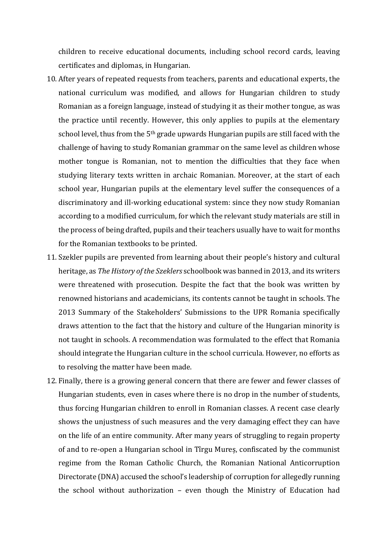children to receive educational documents, including school record cards, leaving certificates and diplomas, in Hungarian.

- 10. After years of repeated requests from teachers, parents and educational experts, the national curriculum was modified, and allows for Hungarian children to study Romanian as a foreign language, instead of studying it as their mother tongue, as was the practice until recently. However, this only applies to pupils at the elementary school level, thus from the 5<sup>th</sup> grade upwards Hungarian pupils are still faced with the challenge of having to study Romanian grammar on the same level as children whose mother tongue is Romanian, not to mention the difficulties that they face when studying literary texts written in archaic Romanian. Moreover, at the start of each school year, Hungarian pupils at the elementary level suffer the consequences of a discriminatory and ill-working educational system: since they now study Romanian according to a modified curriculum, for which the relevant study materials are still in the process of being drafted, pupils and their teachers usually have to wait for months for the Romanian textbooks to be printed.
- 11. Szekler pupils are prevented from learning about their people's history and cultural heritage, as *The History of the Szeklers* schoolbook was banned in 2013, and its writers were threatened with prosecution. Despite the fact that the book was written by renowned historians and academicians, its contents cannot be taught in schools. The 2013 Summary of the Stakeholders' Submissions to the UPR Romania specifically draws attention to the fact that the history and culture of the Hungarian minority is not taught in schools. A recommendation was formulated to the effect that Romania should integrate the Hungarian culture in the school curricula. However, no efforts as to resolving the matter have been made.
- 12. Finally, there is a growing general concern that there are fewer and fewer classes of Hungarian students, even in cases where there is no drop in the number of students, thus forcing Hungarian children to enroll in Romanian classes. A recent case clearly shows the unjustness of such measures and the very damaging effect they can have on the life of an entire community. After many years of struggling to regain property of and to re-open a Hungarian school in Tîrgu Mureș, confiscated by the communist regime from the Roman Catholic Church, the Romanian National Anticorruption Directorate (DNA) accused the school's leadership of corruption for allegedly running the school without authorization – even though the Ministry of Education had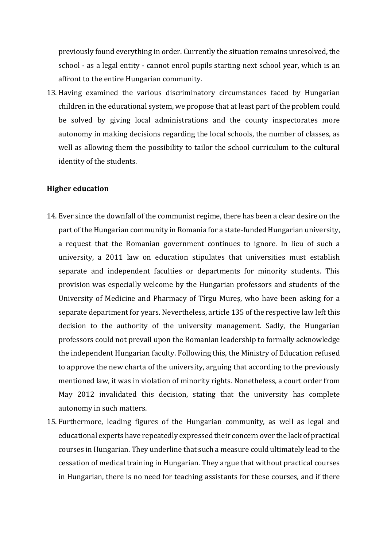previously found everything in order. Currently the situation remains unresolved, the school - as a legal entity - cannot enrol pupils starting next school year, which is an affront to the entire Hungarian community.

13. Having examined the various discriminatory circumstances faced by Hungarian children in the educational system, we propose that at least part of the problem could be solved by giving local administrations and the county inspectorates more autonomy in making decisions regarding the local schools, the number of classes, as well as allowing them the possibility to tailor the school curriculum to the cultural identity of the students.

## **Higher education**

- 14. Ever since the downfall of the communist regime, there has been a clear desire on the part of the Hungarian community in Romania for a state-funded Hungarian university, a request that the Romanian government continues to ignore. In lieu of such a university, a 2011 law on education stipulates that universities must establish separate and independent faculties or departments for minority students. This provision was especially welcome by the Hungarian professors and students of the University of Medicine and Pharmacy of Tîrgu Mureș, who have been asking for a separate department for years. Nevertheless, article 135 of the respective law left this decision to the authority of the university management. Sadly, the Hungarian professors could not prevail upon the Romanian leadership to formally acknowledge the independent Hungarian faculty. Following this, the Ministry of Education refused to approve the new charta of the university, arguing that according to the previously mentioned law, it was in violation of minority rights. Nonetheless, a court order from May 2012 invalidated this decision, stating that the university has complete autonomy in such matters.
- 15. Furthermore, leading figures of the Hungarian community, as well as legal and educational experts have repeatedly expressed their concern over the lack of practical courses in Hungarian. They underline that such a measure could ultimately lead to the cessation of medical training in Hungarian. They argue that without practical courses in Hungarian, there is no need for teaching assistants for these courses, and if there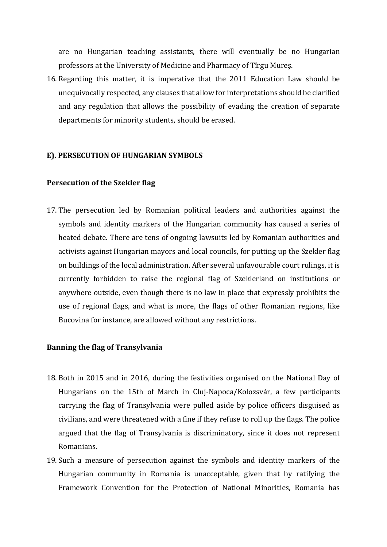are no Hungarian teaching assistants, there will eventually be no Hungarian professors at the University of Medicine and Pharmacy of Tîrgu Mureș.

16. Regarding this matter, it is imperative that the 2011 Education Law should be unequivocally respected, any clauses that allow for interpretations should be clarified and any regulation that allows the possibility of evading the creation of separate departments for minority students, should be erased.

## **E). PERSECUTION OF HUNGARIAN SYMBOLS**

## **Persecution of the Szekler flag**

17. The persecution led by Romanian political leaders and authorities against the symbols and identity markers of the Hungarian community has caused a series of heated debate. There are tens of ongoing lawsuits led by Romanian authorities and activists against Hungarian mayors and local councils, for putting up the Szekler flag on buildings of the local administration. After several unfavourable court rulings, it is currently forbidden to raise the regional flag of Szeklerland on institutions or anywhere outside, even though there is no law in place that expressly prohibits the use of regional flags, and what is more, the flags of other Romanian regions, like Bucovina for instance, are allowed without any restrictions.

## **Banning the flag of Transylvania**

- 18. Both in 2015 and in 2016, during the festivities organised on the National Day of Hungarians on the 15th of March in Cluj-Napoca/Kolozsvár, a few participants carrying the flag of Transylvania were pulled aside by police officers disguised as civilians, and were threatened with a fine if they refuse to roll up the flags. The police argued that the flag of Transylvania is discriminatory, since it does not represent Romanians.
- 19. Such a measure of persecution against the symbols and identity markers of the Hungarian community in Romania is unacceptable, given that by ratifying the Framework Convention for the Protection of National Minorities, Romania has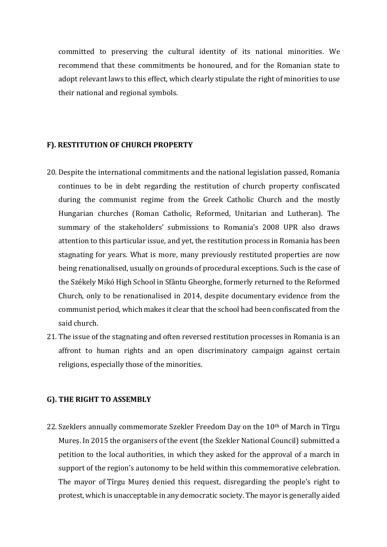committed to preserving the cultural identity of its national minorities. We recommend that these commitments be honoured, and for the Romanian state to adopt relevant laws to this effect, which clearly stipulate the right of minorities to use their national and regional symbols.

## **F). RESTITUTION OF CHURCH PROPERTY**

- 20. Despite the international commitments and the national legislation passed, Romania continues to be in debt regarding the restitution of church property confiscated during the communist regime from the Greek Catholic Church and the mostly Hungarian churches (Roman Catholic, Reformed, Unitarian and Lutheran). The summary of the stakeholders' submissions to Romania's 2008 UPR also draws attention to this particular issue, and yet, the restitution process in Romania has been stagnating for years. What is more, many previously restituted properties are now being renationalised, usually on grounds of procedural exceptions. Such is the case of the Székely Mikó High School in Sfântu Gheorghe, formerly returned to the Reformed Church, only to be renationalised in 2014, despite documentary evidence from the communist period, which makes it clear that the school had been confiscated from the said church.
- 21. The issue of the stagnating and often reversed restitution processes in Romania is an affront to human rights and an open discriminatory campaign against certain religions, especially those of the minorities.

## **G). THE RIGHT TO ASSEMBLY**

22. Szeklers annually commemorate Szekler Freedom Day on the  $10<sup>th</sup>$  of March in Tîrgu Mureș. In 2015 the organisers of the event (the Szekler National Council) submitted a petition to the local authorities, in which they asked for the approval of a march in support of the region's autonomy to be held within this commemorative celebration. The mayor of Tîrgu Mureș denied this request, disregarding the people's right to protest, which is unacceptable in any democratic society. The mayor is generally aided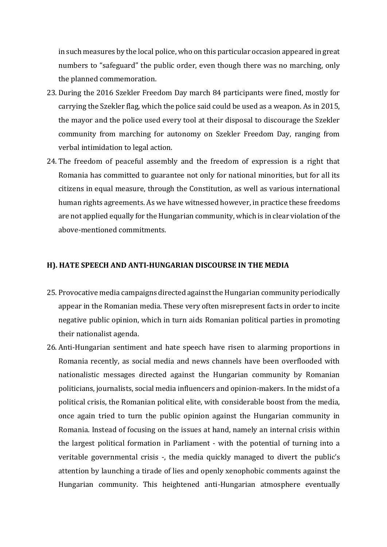in such measures by the local police, who on this particular occasion appeared in great numbers to "safeguard" the public order, even though there was no marching, only the planned commemoration.

- 23. During the 2016 Szekler Freedom Day march 84 participants were fined, mostly for carrying the Szekler flag, which the police said could be used as a weapon. As in 2015, the mayor and the police used every tool at their disposal to discourage the Szekler community from marching for autonomy on Szekler Freedom Day, ranging from verbal intimidation to legal action.
- 24. The freedom of peaceful assembly and the freedom of expression is a right that Romania has committed to guarantee not only for national minorities, but for all its citizens in equal measure, through the Constitution, as well as various international human rights agreements. As we have witnessed however, in practice these freedoms are not applied equally for the Hungarian community, which is in clear violation of the above-mentioned commitments.

# **H). HATE SPEECH AND ANTI-HUNGARIAN DISCOURSE IN THE MEDIA**

- 25. Provocative media campaigns directed against the Hungarian community periodically appear in the Romanian media. These very often misrepresent facts in order to incite negative public opinion, which in turn aids Romanian political parties in promoting their nationalist agenda.
- 26. Anti-Hungarian sentiment and hate speech have risen to alarming proportions in Romania recently, as social media and news channels have been overflooded with nationalistic messages directed against the Hungarian community by Romanian politicians, journalists, social media influencers and opinion-makers. In the midst of a political crisis, the Romanian political elite, with considerable boost from the media, once again tried to turn the public opinion against the Hungarian community in Romania. Instead of focusing on the issues at hand, namely an internal crisis within the largest political formation in Parliament - with the potential of turning into a veritable governmental crisis -, the media quickly managed to divert the public's attention by launching a tirade of lies and openly xenophobic comments against the Hungarian community. This heightened anti-Hungarian atmosphere eventually